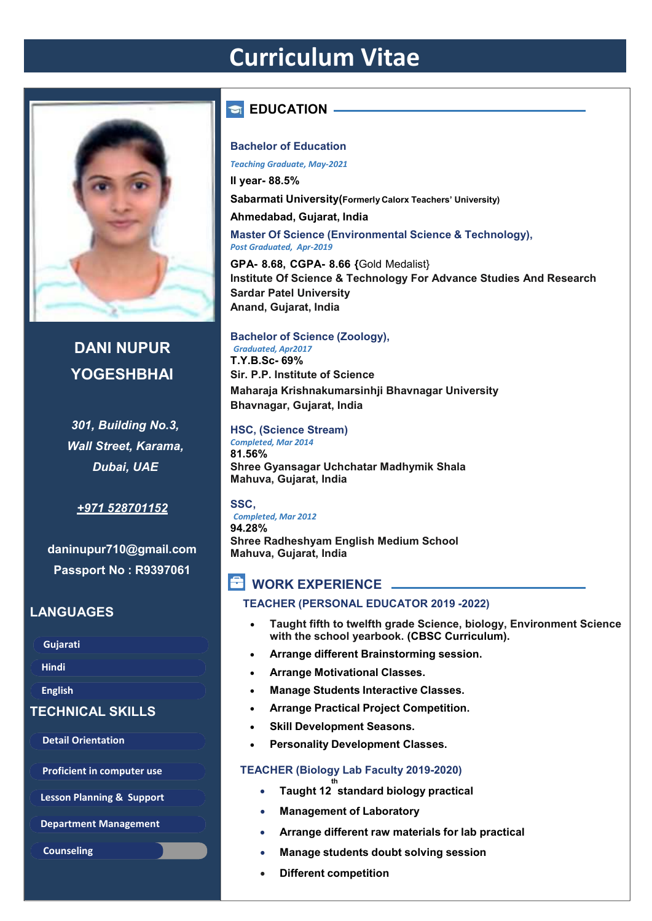# **Curriculum Vitae**



## **DANI NUPUR YOGESHBHAI**

*301, Building No.3, Wall Street, Karama, Dubai, UAE*

#### *+971 528701152*

**daninupur710@gmail.com Passport No : R9397061**

#### **LANGUAGES**

**Gujarati** 

**Hindi** 

**English**

#### **TECHNICAL SKILLS**

**Detail Orientation** 

**Proficient in computer use**

**Department Management** 

**Counseling**

## **EDUCATION -**

#### **Bachelor of Education**

*Teaching Graduate, May-2021*  **II year- 88.5%** 

**Sabarmati University(Formerly Calorx Teachers' University)** 

**Ahmedabad, Gujarat, India** 

**Master Of Science (Environmental Science & Technology),** *Post Graduated, Apr-2019*

**GPA- 8.68, CGPA- 8.66 {**Gold Medalist} **Institute Of Science & Technology For Advance Studies And Research Sardar Patel University Anand, Gujarat, India**

#### **Bachelor of Science (Zoology),**

*Graduated, Apr2017* **T.Y.B.Sc- 69% Sir. P.P. Institute of Science Maharaja Krishnakumarsinhji Bhavnagar University Bhavnagar, Gujarat, India**

**HSC, (Science Stream)** *Completed, Mar 2014*

**81.56% Shree Gyansagar Uchchatar Madhymik Shala Mahuva, Gujarat, India**

#### **SSC,**

*Completed, Mar 2012* **94.28% Shree Radheshyam English Medium School Mahuva, Gujarat, India**

## **E** WORK EXPERIENCE

#### **TEACHER (PERSONAL EDUCATOR 2019 -2022)**

- **Taught fifth to twelfth grade Science, biology, Environment Science with the school yearbook. (CBSC Curriculum).**
- **Arrange different Brainstorming session.**
- **Arrange Motivational Classes.**
- **Manage Students Interactive Classes.**
- **Arrange Practical Project Competition.**
- **Skill Development Seasons.**
- **Personality Development Classes.**

#### **TEACHER (Biology Lab Faculty 2019-2020)**

- **th Lesson Planning & Support Taught 12 standard biology practical**
	- **Management of Laboratory**
	- **Arrange different raw materials for lab practical**
	- **Manage students doubt solving session**
	- **Different competition**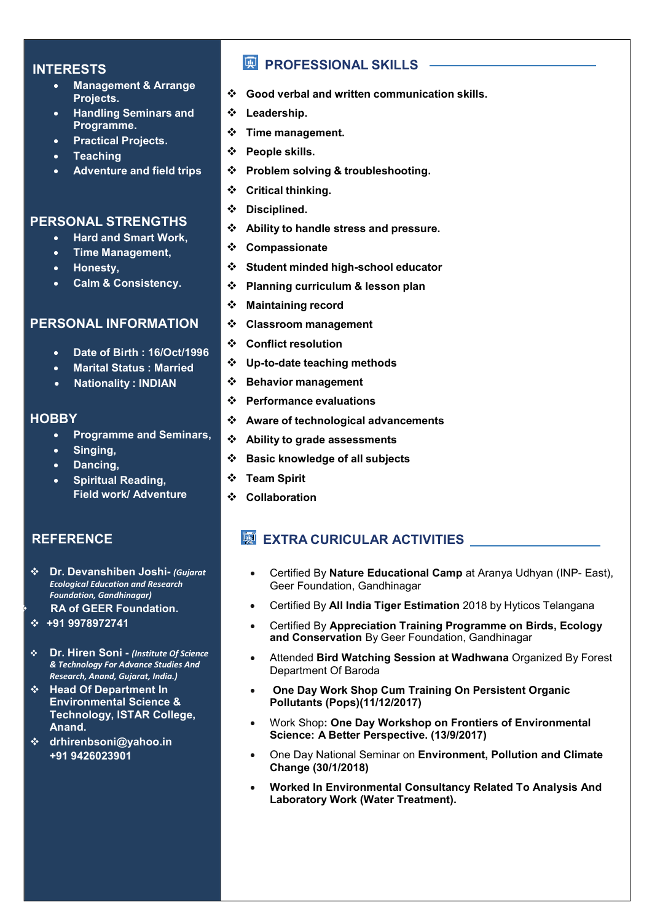#### **INTERESTS**

- **Management & Arrange Projects.**
- **Handling Seminars and Programme.**
- **Practical Projects.**
- **Teaching**
- **Adventure and field trips**

#### **PERSONAL STRENGTHS**

- **Hard and Smart Work,**
- **Time Management,**
- **Honesty,**
- **Calm & Consistency.**

#### **PERSONAL INFORMATION**

- **Date of Birth : 16/Oct/1996**
- **Marital Status : Married**
- **Nationality : INDIAN**

#### **HOBBY**

- **Programme and Seminars,**
- **Singing,**
- **Dancing,**
- **Spiritual Reading, Field work/ Adventure**

#### **REFERENCE**

- **Dr. Devanshiben Joshi-** *(Gujarat Ecological Education and Research Foundation, Gandhinagar)* **RA of GEER Foundation.**
- **+91 9978972741**
- **Dr. Hiren Soni** *(Institute Of Science & Technology For Advance Studies And Research, Anand, Gujarat, India.)*
- **Head Of Department In Environmental Science & Technology, ISTAR College, Anand.**
- **drhirenbsoni@yahoo.in +91 9426023901**

### **PROFESSIONAL SKILLS** -

- **Good verbal and written communication skills.**
- **Leadership.**
- **Time management.**
- **People skills.**
- **Problem solving & troubleshooting.**
- **Critical thinking.**
- **Disciplined.**
- **Ability to handle stress and pressure.**
- **Compassionate**
- **Student minded high-school educator**
- **Planning curriculum & lesson plan**
- **Maintaining record**
- **Classroom management**
- **Conflict resolution**
- **Up-to-date teaching methods**
- **Behavior management**
- **Performance evaluations**
- **Aware of technological advancements**
- **Ability to grade assessments**
- **Basic knowledge of all subjects**
- **Team Spirit**
- **Collaboration**

### **EXTRA CURICULAR ACTIVITIES**

- Certified By **Nature Educational Camp** at Aranya Udhyan (INP- East), Geer Foundation, Gandhinagar
- Certified By **All India Tiger Estimation** 2018 by Hyticos Telangana
- Certified By **Appreciation Training Programme on Birds, Ecology and Conservation** By Geer Foundation, Gandhinagar
- Attended **Bird Watching Session at Wadhwana** Organized By Forest Department Of Baroda
- **One Day Work Shop Cum Training On Persistent Organic Pollutants (Pops)(11/12/2017)**
- Work Shop**: One Day Workshop on Frontiers of Environmental Science: A Better Perspective. (13/9/2017)**
- One Day National Seminar on **Environment, Pollution and Climate Change (30/1/2018)**
- **Worked In Environmental Consultancy Related To Analysis And Laboratory Work (Water Treatment).**